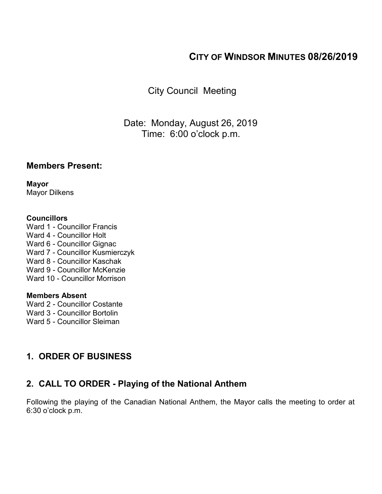# **CITY OF WINDSOR MINUTES 08/26/2019**

City Council Meeting

Date: Monday, August 26, 2019 Time: 6:00 o'clock p.m.

#### **Members Present:**

**Mayor** Mayor Dilkens

#### **Councillors**

Ward 1 - Councillor Francis Ward 4 - Councillor Holt Ward 6 - Councillor Gignac Ward 7 - Councillor Kusmierczyk Ward 8 - Councillor Kaschak Ward 9 - Councillor McKenzie Ward 10 - Councillor Morrison

#### **Members Absent**

Ward 2 - Councillor Costante

- Ward 3 Councillor Bortolin
- Ward 5 Councillor Sleiman

# **1. ORDER OF BUSINESS**

## **2. CALL TO ORDER - Playing of the National Anthem**

Following the playing of the Canadian National Anthem, the Mayor calls the meeting to order at 6:30 o'clock p.m.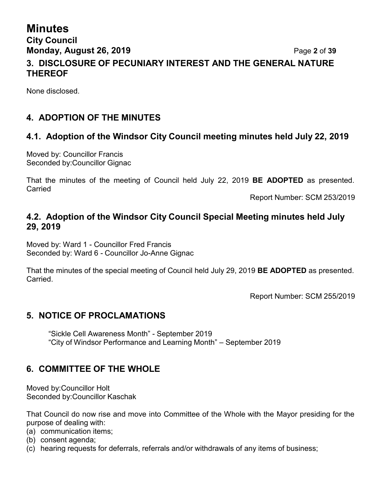## **Minutes City Council Monday, August 26, 2019** Page **2** of **39 3. DISCLOSURE OF PECUNIARY INTEREST AND THE GENERAL NATURE THEREOF**

None disclosed.

## **4. ADOPTION OF THE MINUTES**

## **4.1. Adoption of the Windsor City Council meeting minutes held July 22, 2019**

Moved by: Councillor Francis Seconded by:Councillor Gignac

That the minutes of the meeting of Council held July 22, 2019 **BE ADOPTED** as presented. Carried

Report Number: SCM 253/2019

#### **4.2. Adoption of the Windsor City Council Special Meeting minutes held July 29, 2019**

Moved by: Ward 1 - Councillor Fred Francis Seconded by: Ward 6 - Councillor Jo-Anne Gignac

That the minutes of the special meeting of Council held July 29, 2019 **BE ADOPTED** as presented. **Carried** 

Report Number: SCM 255/2019

#### **5. NOTICE OF PROCLAMATIONS**

"Sickle Cell Awareness Month" - September 2019 "City of Windsor Performance and Learning Month" – September 2019

#### **6. COMMITTEE OF THE WHOLE**

Moved by:Councillor Holt Seconded by:Councillor Kaschak

That Council do now rise and move into Committee of the Whole with the Mayor presiding for the purpose of dealing with:

- (a) communication items;
- (b) consent agenda;
- (c) hearing requests for deferrals, referrals and/or withdrawals of any items of business;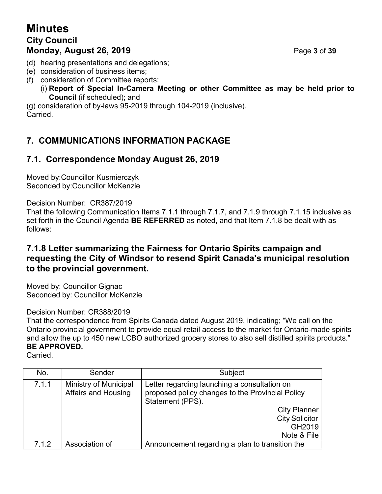# **Minutes City Council Monday, August 26, 2019** Page **3** of **39**

- (d) hearing presentations and delegations;
- (e) consideration of business items;
- (f) consideration of Committee reports:
	- (i) **Report of Special In-Camera Meeting or other Committee as may be held prior to Council** (if scheduled); and

(g) consideration of by-laws 95-2019 through 104-2019 (inclusive). Carried.

## **7. COMMUNICATIONS INFORMATION PACKAGE**

## **7.1. Correspondence Monday August 26, 2019**

Moved by:Councillor Kusmierczyk Seconded by:Councillor McKenzie

Decision Number: CR387/2019

That the following Communication Items 7.1.1 through 7.1.7, and 7.1.9 through 7.1.15 inclusive as set forth in the Council Agenda **BE REFERRED** as noted, and that Item 7.1.8 be dealt with as follows:

### **7.1.8 Letter summarizing the Fairness for Ontario Spirits campaign and requesting the City of Windsor to resend Spirit Canada's municipal resolution to the provincial government.**

Moved by: Councillor Gignac Seconded by: Councillor McKenzie

Decision Number: CR388/2019

That the correspondence from Spirits Canada dated August 2019, indicating; "We call on the Ontario provincial government to provide equal retail access to the market for Ontario-made spirits and allow the up to 450 new LCBO authorized grocery stores to also sell distilled spirits products." **BE APPROVED.**

Carried.

| No.   | Sender                                              | Subject                                                                                                                                                                                       |
|-------|-----------------------------------------------------|-----------------------------------------------------------------------------------------------------------------------------------------------------------------------------------------------|
| 7.1.1 | Ministry of Municipal<br><b>Affairs and Housing</b> | Letter regarding launching a consultation on<br>proposed policy changes to the Provincial Policy<br>Statement (PPS).<br><b>City Planner</b><br><b>City Solicitor</b><br>GH2019<br>Note & File |
| 7.1.2 | Association of                                      | Announcement regarding a plan to transition the                                                                                                                                               |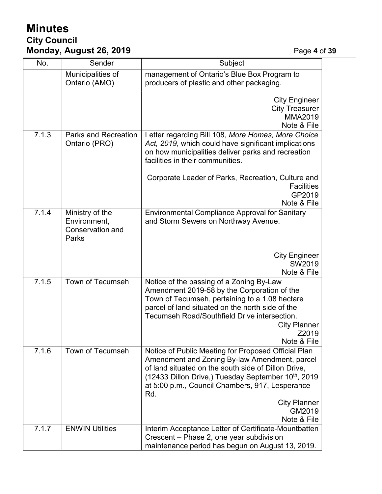# **Minutes City Council Monday, August 26, 2019** Page **4** of **39**

| No.   | Sender                                                       | Subject                                                                                                                                                                                                                                                                                                                                  |
|-------|--------------------------------------------------------------|------------------------------------------------------------------------------------------------------------------------------------------------------------------------------------------------------------------------------------------------------------------------------------------------------------------------------------------|
|       | Municipalities of<br>Ontario (AMO)                           | management of Ontario's Blue Box Program to<br>producers of plastic and other packaging.                                                                                                                                                                                                                                                 |
|       |                                                              | <b>City Engineer</b><br><b>City Treasurer</b><br>MMA2019<br>Note & File                                                                                                                                                                                                                                                                  |
| 7.1.3 | <b>Parks and Recreation</b><br>Ontario (PRO)                 | Letter regarding Bill 108, More Homes, More Choice<br>Act, 2019, which could have significant implications<br>on how municipalities deliver parks and recreation<br>facilities in their communities.                                                                                                                                     |
|       |                                                              | Corporate Leader of Parks, Recreation, Culture and<br><b>Facilities</b><br>GP2019<br>Note & File                                                                                                                                                                                                                                         |
| 7.1.4 | Ministry of the<br>Environment,<br>Conservation and<br>Parks | <b>Environmental Compliance Approval for Sanitary</b><br>and Storm Sewers on Northway Avenue.                                                                                                                                                                                                                                            |
|       |                                                              | <b>City Engineer</b><br>SW2019<br>Note & File                                                                                                                                                                                                                                                                                            |
| 7.1.5 | <b>Town of Tecumseh</b>                                      | Notice of the passing of a Zoning By-Law<br>Amendment 2019-58 by the Corporation of the<br>Town of Tecumseh, pertaining to a 1.08 hectare<br>parcel of land situated on the north side of the<br>Tecumseh Road/Southfield Drive intersection.<br><b>City Planner</b><br>Z2019<br>Note & File                                             |
| 7.1.6 | <b>Town of Tecumseh</b>                                      | Notice of Public Meeting for Proposed Official Plan<br>Amendment and Zoning By-law Amendment, parcel<br>of land situated on the south side of Dillon Drive,<br>(12433 Dillon Drive,) Tuesday September 10 <sup>th</sup> , 2019<br>at 5:00 p.m., Council Chambers, 917, Lesperance<br>Rd.<br><b>City Planner</b><br>GM2019<br>Note & File |
| 7.1.7 | <b>ENWIN Utilities</b>                                       | Interim Acceptance Letter of Certificate-Mountbatten<br>Crescent - Phase 2, one year subdivision<br>maintenance period has begun on August 13, 2019.                                                                                                                                                                                     |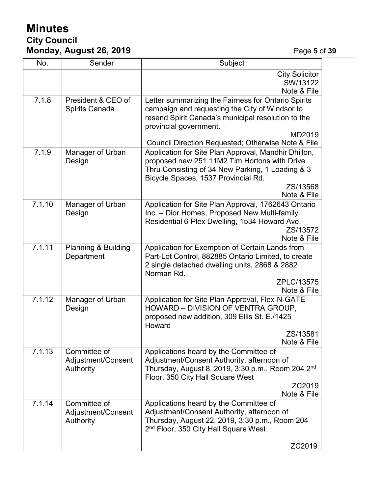# **Minutes City Council Monday, August 26, 2019** Page **5** of **39**

| No.    | Sender                         | Subject                                                       |
|--------|--------------------------------|---------------------------------------------------------------|
|        |                                | <b>City Solicitor</b>                                         |
|        |                                | SW/13122                                                      |
|        |                                | Note & File                                                   |
| 7.1.8  | President & CEO of             | Letter summarizing the Fairness for Ontario Spirits           |
|        | <b>Spirits Canada</b>          | campaign and requesting the City of Windsor to                |
|        |                                | resend Spirit Canada's municipal resolution to the            |
|        |                                | provincial government.<br>MD2019                              |
|        |                                | Council Direction Requested; Otherwise Note & File            |
| 7.1.9  | Manager of Urban               | Application for Site Plan Approval, Mandhir Dhillon,          |
|        | Design                         | proposed new 251.11M2 Tim Hortons with Drive                  |
|        |                                | Thru Consisting of 34 New Parking, 1 Loading & 3              |
|        |                                | Bicycle Spaces, 1537 Provincial Rd.                           |
|        |                                | ZS/13568                                                      |
|        |                                | Note & File                                                   |
| 7.1.10 | Manager of Urban               | Application for Site Plan Approval, 1762643 Ontario           |
|        | Design                         | Inc. - Dior Homes, Proposed New Multi-family                  |
|        |                                | Residential 6-Plex Dwelling, 1534 Howard Ave.<br>ZS/13572     |
|        |                                | Note & File                                                   |
| 7.1.11 | <b>Planning &amp; Building</b> | Application for Exemption of Certain Lands from               |
|        | Department                     | Part-Lot Control, 882885 Ontario Limited, to create           |
|        |                                | 2 single detached dwelling units, 2868 & 2882                 |
|        |                                | Norman Rd.                                                    |
|        |                                | ZPLC/13575                                                    |
|        |                                | Note & File                                                   |
| 7.1.12 | Manager of Urban               | Application for Site Plan Approval, Flex-N-GATE               |
|        | Design                         | HOWARD - DIVISION OF VENTRA GROUP,                            |
|        |                                | proposed new addition, 309 Ellis St. E./1425<br>Howard        |
|        |                                | ZS/13581                                                      |
|        |                                | Note & File                                                   |
| 7.1.13 | Committee of                   | Applications heard by the Committee of                        |
|        | Adjustment/Consent             | Adjustment/Consent Authority, afternoon of                    |
|        | Authority                      | Thursday, August 8, 2019, 3:30 p.m., Room 204 2 <sup>nd</sup> |
|        |                                | Floor, 350 City Hall Square West                              |
|        |                                | ZC2019<br>Note & File                                         |
| 7.1.14 | Committee of                   | Applications heard by the Committee of                        |
|        | Adjustment/Consent             | Adjustment/Consent Authority, afternoon of                    |
|        | Authority                      | Thursday, August 22, 2019, 3:30 p.m., Room 204                |
|        |                                | 2 <sup>nd</sup> Floor, 350 City Hall Square West              |
|        |                                |                                                               |
|        |                                | ZC2019                                                        |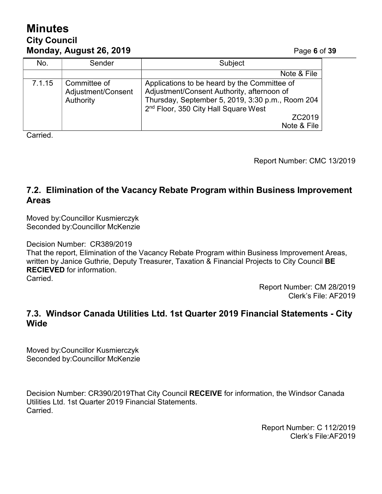# **Minutes City Council Monday, August 26, 2019** Page **6** of **39**

| No.    | Sender                                          | Subject                                                                                                                                                                                                                     |
|--------|-------------------------------------------------|-----------------------------------------------------------------------------------------------------------------------------------------------------------------------------------------------------------------------------|
|        |                                                 | Note & File                                                                                                                                                                                                                 |
| 7.1.15 | Committee of<br>Adjustment/Consent<br>Authority | Applications to be heard by the Committee of<br>Adjustment/Consent Authority, afternoon of<br>Thursday, September 5, 2019, 3:30 p.m., Room 204<br>2 <sup>nd</sup> Floor, 350 City Hall Square West<br>ZC2019<br>Note & File |

**Carried** 

Report Number: CMC 13/2019

## **7.2. Elimination of the Vacancy Rebate Program within Business Improvement Areas**

Moved by:Councillor Kusmierczyk Seconded by:Councillor McKenzie

Decision Number: CR389/2019

That the report, Elimination of the Vacancy Rebate Program within Business Improvement Areas, written by Janice Guthrie, Deputy Treasurer, Taxation & Financial Projects to City Council **BE RECIEVED** for information.

Carried.

Report Number: CM 28/2019 Clerk's File: AF2019

## **7.3. Windsor Canada Utilities Ltd. 1st Quarter 2019 Financial Statements - City Wide**

Moved by:Councillor Kusmierczyk Seconded by:Councillor McKenzie

Decision Number: CR390/2019That City Council **RECEIVE** for information, the Windsor Canada Utilities Ltd. 1st Quarter 2019 Financial Statements. Carried.

> Report Number: C 112/2019 Clerk's File:AF2019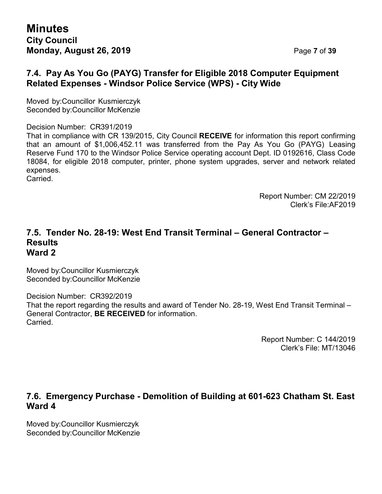## **7.4. Pay As You Go (PAYG) Transfer for Eligible 2018 Computer Equipment Related Expenses - Windsor Police Service (WPS) - City Wide**

Moved by:Councillor Kusmierczyk Seconded by:Councillor McKenzie

Decision Number: CR391/2019

That in compliance with CR 139/2015, City Council **RECEIVE** for information this report confirming that an amount of \$1,006,452.11 was transferred from the Pay As You Go (PAYG) Leasing Reserve Fund 170 to the Windsor Police Service operating account Dept. ID 0192616, Class Code 18084, for eligible 2018 computer, printer, phone system upgrades, server and network related expenses.

Carried.

Report Number: CM 22/2019 Clerk's File:AF2019

#### **7.5. Tender No. 28-19: West End Transit Terminal – General Contractor – Results Ward 2**

Moved by:Councillor Kusmierczyk Seconded by:Councillor McKenzie

Decision Number: CR392/2019 That the report regarding the results and award of Tender No. 28-19, West End Transit Terminal – General Contractor, **BE RECEIVED** for information. Carried.

> Report Number: C 144/2019 Clerk's File: MT/13046

#### **7.6. Emergency Purchase - Demolition of Building at 601-623 Chatham St. East Ward 4**

Moved by:Councillor Kusmierczyk Seconded by:Councillor McKenzie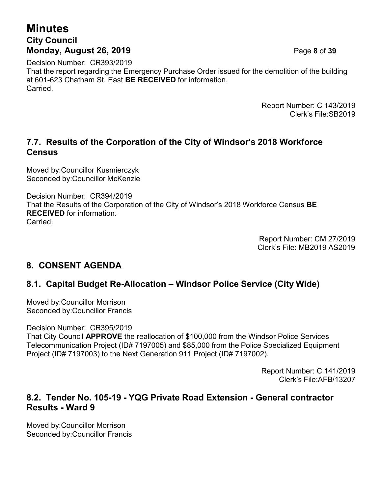# **Minutes City Council Monday, August 26, 2019** Page **8** of **39**

Decision Number: CR393/2019 That the report regarding the Emergency Purchase Order issued for the demolition of the building at 601-623 Chatham St. East **BE RECEIVED** for information. Carried.

> Report Number: C 143/2019 Clerk's File:SB2019

## **7.7. Results of the Corporation of the City of Windsor's 2018 Workforce Census**

Moved by:Councillor Kusmierczyk Seconded by:Councillor McKenzie

Decision Number: CR394/2019 That the Results of the Corporation of the City of Windsor's 2018 Workforce Census **BE RECEIVED** for information. Carried.

> Report Number: CM 27/2019 Clerk's File: MB2019 AS2019

## **8. CONSENT AGENDA**

## **8.1. Capital Budget Re-Allocation – Windsor Police Service (City Wide)**

Moved by:Councillor Morrison Seconded by:Councillor Francis

Decision Number: CR395/2019

That City Council **APPROVE** the reallocation of \$100,000 from the Windsor Police Services Telecommunication Project (ID# 7197005) and \$85,000 from the Police Specialized Equipment Project (ID# 7197003) to the Next Generation 911 Project (ID# 7197002).

> Report Number: C 141/2019 Clerk's File:AFB/13207

#### **8.2. Tender No. 105-19 - YQG Private Road Extension - General contractor Results - Ward 9**

Moved by:Councillor Morrison Seconded by:Councillor Francis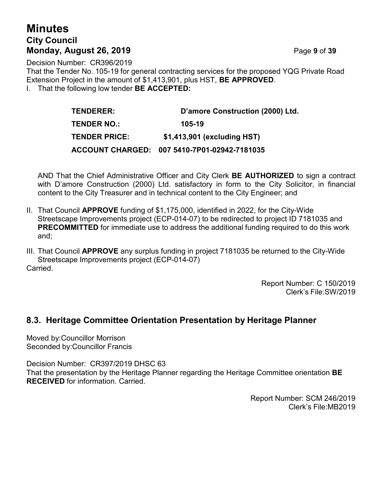# **Minutes City Council Monday, August 26, 2019** Page **9** of **39**

Decision Number: CR396/2019 That the Tender No. 105-19 for general contracting services for the proposed YQG Private Road Extension Project in the amount of \$1,413,901, plus HST, **BE APPROVED**. I. That the following low tender **BE ACCEPTED:**

| <b>TENDERER:</b>     | D'amore Construction (2000) Ltd.             |
|----------------------|----------------------------------------------|
| <b>TENDER NO.:</b>   | 105-19                                       |
| <b>TENDER PRICE:</b> | \$1,413,901 (excluding HST)                  |
|                      | ACCOUNT CHARGED: 007 5410-7P01-02942-7181035 |

AND That the Chief Administrative Officer and City Clerk **BE AUTHORIZED** to sign a contract with D'amore Construction (2000) Ltd. satisfactory in form to the City Solicitor, in financial content to the City Treasurer and in technical content to the City Engineer; and

- II. That Council **APPROVE** funding of \$1,175,000, identified in 2022, for the City-Wide Streetscape Improvements project (ECP-014-07) to be redirected to project ID 7181035 and **PRECOMMITTED** for immediate use to address the additional funding required to do this work and;
- III. That Council **APPROVE** any surplus funding in project 7181035 be returned to the City-Wide Streetscape Improvements project (ECP-014-07) Carried.

Report Number: C 150/2019 Clerk's File:SW/2019

#### **8.3. Heritage Committee Orientation Presentation by Heritage Planner**

Moved by:Councillor Morrison Seconded by:Councillor Francis

Decision Number: CR397/2019 DHSC 63

That the presentation by the Heritage Planner regarding the Heritage Committee orientation **BE RECEIVED** for information. Carried.

> Report Number: SCM 246/2019 Clerk's File:MB2019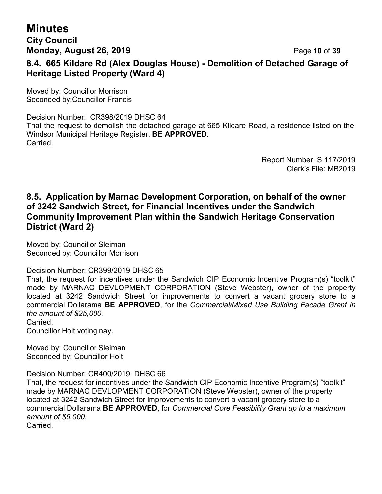# **Minutes**

## **City Council Monday, August 26, 2019 Page 10 of 39 8.4. 665 Kildare Rd (Alex Douglas House) - Demolition of Detached Garage of Heritage Listed Property (Ward 4)**

Moved by: Councillor Morrison Seconded by:Councillor Francis

Decision Number: CR398/2019 DHSC 64 That the request to demolish the detached garage at 665 Kildare Road, a residence listed on the Windsor Municipal Heritage Register, **BE APPROVED**. Carried.

> Report Number: S 117/2019 Clerk's File: MB2019

## **8.5. Application by Marnac Development Corporation, on behalf of the owner of 3242 Sandwich Street, for Financial Incentives under the Sandwich Community Improvement Plan within the Sandwich Heritage Conservation District (Ward 2)**

Moved by: Councillor Sleiman Seconded by: Councillor Morrison

Decision Number: CR399/2019 DHSC 65

That, the request for incentives under the Sandwich CIP Economic Incentive Program(s) "toolkit" made by MARNAC DEVLOPMENT CORPORATION (Steve Webster), owner of the property located at 3242 Sandwich Street for improvements to convert a vacant grocery store to a commercial Dollarama **BE APPROVED**, for the *Commercial/Mixed Use Building Facade Grant in the amount of \$25,000.*

Carried.

Councillor Holt voting nay.

Moved by: Councillor Sleiman Seconded by: Councillor Holt

Decision Number: CR400/2019 DHSC 66

That, the request for incentives under the Sandwich CIP Economic Incentive Program(s) "toolkit" made by MARNAC DEVLOPMENT CORPORATION (Steve Webster), owner of the property located at 3242 Sandwich Street for improvements to convert a vacant grocery store to a commercial Dollarama **BE APPROVED**, for *Commercial Core Feasibility Grant up to a maximum amount of \$5,000.* Carried.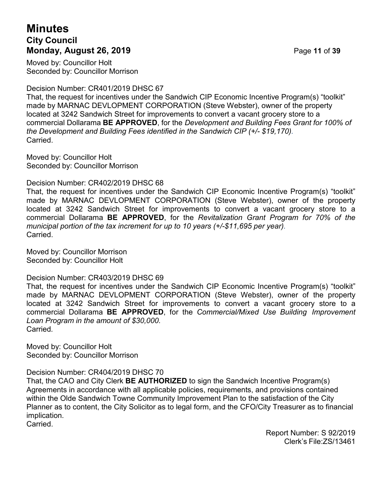# **Minutes City Council Monday, August 26, 2019 Page 11 of 39**

Moved by: Councillor Holt Seconded by: Councillor Morrison

Decision Number: CR401/2019 DHSC 67

That, the request for incentives under the Sandwich CIP Economic Incentive Program(s) "toolkit" made by MARNAC DEVLOPMENT CORPORATION (Steve Webster), owner of the property located at 3242 Sandwich Street for improvements to convert a vacant grocery store to a commercial Dollarama **BE APPROVED**, for the *Development and Building Fees Grant for 100% of the Development and Building Fees identified in the Sandwich CIP (+/- \$19,170).* Carried.

Moved by: Councillor Holt Seconded by: Councillor Morrison

Decision Number: CR402/2019 DHSC 68

That, the request for incentives under the Sandwich CIP Economic Incentive Program(s) "toolkit" made by MARNAC DEVLOPMENT CORPORATION (Steve Webster), owner of the property located at 3242 Sandwich Street for improvements to convert a vacant grocery store to a commercial Dollarama **BE APPROVED**, for the *Revitalization Grant Program for 70% of the municipal portion of the tax increment for up to 10 years (+/-\$11,695 per year).* **Carried** 

Moved by: Councillor Morrison Seconded by: Councillor Holt

Decision Number: CR403/2019 DHSC 69

That, the request for incentives under the Sandwich CIP Economic Incentive Program(s) "toolkit" made by MARNAC DEVLOPMENT CORPORATION (Steve Webster), owner of the property located at 3242 Sandwich Street for improvements to convert a vacant grocery store to a commercial Dollarama **BE APPROVED**, for the *Commercial/Mixed Use Building Improvement Loan Program in the amount of \$30,000.* Carried*.*

Moved by: Councillor Holt Seconded by: Councillor Morrison

Decision Number: CR404/2019 DHSC 70

That, the CAO and City Clerk **BE AUTHORIZED** to sign the Sandwich Incentive Program(s) Agreements in accordance with all applicable policies, requirements, and provisions contained within the Olde Sandwich Towne Community Improvement Plan to the satisfaction of the City Planner as to content, the City Solicitor as to legal form, and the CFO/City Treasurer as to financial implication.

Carried.

Report Number: S 92/2019 Clerk's File:ZS/13461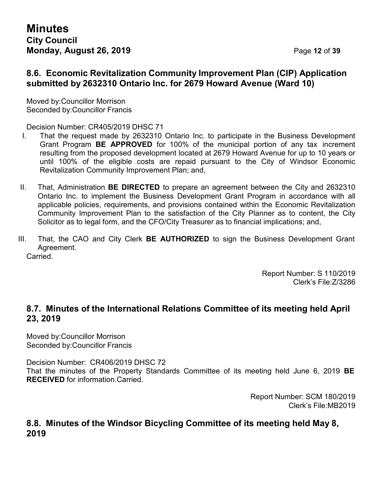#### **8.6. Economic Revitalization Community Improvement Plan (CIP) Application submitted by 2632310 Ontario Inc. for 2679 Howard Avenue (Ward 10)**

Moved by:Councillor Morrison Seconded by:Councillor Francis

Decision Number: CR405/2019 DHSC 71

- I. That the request made by 2632310 Ontario Inc. to participate in the Business Development Grant Program **BE APPROVED** for 100% of the municipal portion of any tax increment resulting from the proposed development located at 2679 Howard Avenue for up to 10 years or until 100% of the eligible costs are repaid pursuant to the City of Windsor Economic Revitalization Community Improvement Plan; and,
- II. That, Administration **BE DIRECTED** to prepare an agreement between the City and 2632310 Ontario Inc. to implement the Business Development Grant Program in accordance with all applicable policies, requirements, and provisions contained within the Economic Revitalization Community Improvement Plan to the satisfaction of the City Planner as to content, the City Solicitor as to legal form, and the CFO/City Treasurer as to financial implications; and,
- III. That, the CAO and City Clerk **BE AUTHORIZED** to sign the Business Development Grant Agreement.

Carried.

Report Number: S 110/2019 Clerk's File:Z/3286

## **8.7. Minutes of the International Relations Committee of its meeting held April 23, 2019**

Moved by:Councillor Morrison Seconded by:Councillor Francis

Decision Number: CR406/2019 DHSC 72

That the minutes of the Property Standards Committee of its meeting held June 6, 2019 **BE RECEIVED** for information.Carried.

> Report Number: SCM 180/2019 Clerk's File:MB2019

#### **8.8. Minutes of the Windsor Bicycling Committee of its meeting held May 8, 2019**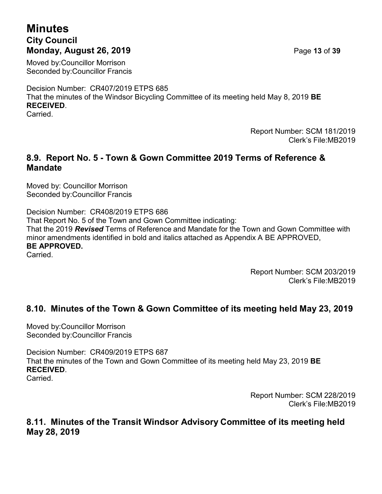# **Minutes City Council Monday, August 26, 2019** Page **13** of **39**

Moved by:Councillor Morrison Seconded by:Councillor Francis

Decision Number: CR407/2019 ETPS 685 That the minutes of the Windsor Bicycling Committee of its meeting held May 8, 2019 **BE RECEIVED**.

Carried.

Report Number: SCM 181/2019 Clerk's File:MB2019

#### **8.9. Report No. 5 - Town & Gown Committee 2019 Terms of Reference & Mandate**

Moved by: Councillor Morrison Seconded by:Councillor Francis

Decision Number: CR408/2019 ETPS 686 That Report No. 5 of the Town and Gown Committee indicating: That the 2019 *Revised* Terms of Reference and Mandate for the Town and Gown Committee with minor amendments identified in bold and italics attached as Appendix A BE APPROVED, **BE APPROVED.** Carried.

> Report Number: SCM 203/2019 Clerk's File:MB2019

# **8.10. Minutes of the Town & Gown Committee of its meeting held May 23, 2019**

Moved by:Councillor Morrison Seconded by:Councillor Francis

Decision Number: CR409/2019 ETPS 687 That the minutes of the Town and Gown Committee of its meeting held May 23, 2019 **BE RECEIVED**. Carried.

> Report Number: SCM 228/2019 Clerk's File:MB2019

## **8.11. Minutes of the Transit Windsor Advisory Committee of its meeting held May 28, 2019**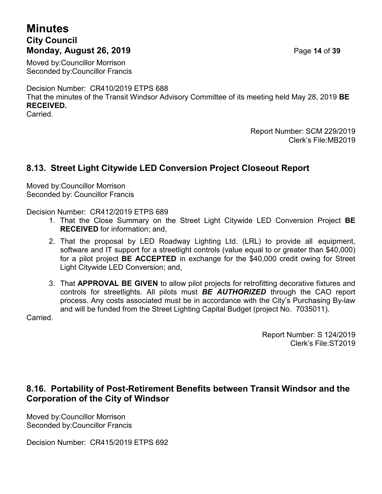## **Minutes City Council Monday, August 26, 2019** Page **14** of **39**

Moved by:Councillor Morrison Seconded by:Councillor Francis

Decision Number: CR410/2019 ETPS 688

That the minutes of the Transit Windsor Advisory Committee of its meeting held May 28, 2019 **BE RECEIVED.**

Carried.

Report Number: SCM 229/2019 Clerk's File:MB2019

## **8.13. Street Light Citywide LED Conversion Project Closeout Report**

Moved by:Councillor Morrison Seconded by: Councillor Francis

Decision Number: CR412/2019 ETPS 689

- 1. That the Close Summary on the Street Light Citywide LED Conversion Project **BE RECEIVED** for information; and,
- 2. That the proposal by LED Roadway Lighting Ltd. (LRL) to provide all equipment, software and IT support for a streetlight controls (value equal to or greater than \$40,000) for a pilot project **BE ACCEPTED** in exchange for the \$40,000 credit owing for Street Light Citywide LED Conversion; and,
- 3. That **APPROVAL BE GIVEN** to allow pilot projects for retrofitting decorative fixtures and controls for streetlights. All pilots must *BE AUTHORIZED* through the CAO report process. Any costs associated must be in accordance with the City's Purchasing By-law and will be funded from the Street Lighting Capital Budget (project No. 7035011).

Carried.

Report Number: S 124/2019 Clerk's File:ST2019

## **8.16. Portability of Post-Retirement Benefits between Transit Windsor and the Corporation of the City of Windsor**

Moved by:Councillor Morrison Seconded by:Councillor Francis

Decision Number: CR415/2019 ETPS 692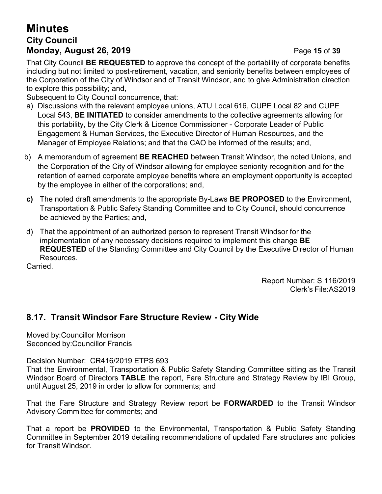# **Minutes City Council Monday, August 26, 2019 Page 15 of 39**

That City Council **BE REQUESTED** to approve the concept of the portability of corporate benefits including but not limited to post-retirement, vacation, and seniority benefits between employees of the Corporation of the City of Windsor and of Transit Windsor, and to give Administration direction to explore this possibility; and,

Subsequent to City Council concurrence, that:

- a) Discussions with the relevant employee unions, ATU Local 616, CUPE Local 82 and CUPE Local 543, **BE INITIATED** to consider amendments to the collective agreements allowing for this portability, by the City Clerk & Licence Commissioner - Corporate Leader of Public Engagement & Human Services, the Executive Director of Human Resources, and the Manager of Employee Relations; and that the CAO be informed of the results; and,
- b) A memorandum of agreement **BE REACHED** between Transit Windsor, the noted Unions, and the Corporation of the City of Windsor allowing for employee seniority recognition and for the retention of earned corporate employee benefits where an employment opportunity is accepted by the employee in either of the corporations; and,
- **c)** The noted draft amendments to the appropriate By-Laws **BE PROPOSED** to the Environment, Transportation & Public Safety Standing Committee and to City Council, should concurrence be achieved by the Parties; and,
- d) That the appointment of an authorized person to represent Transit Windsor for the implementation of any necessary decisions required to implement this change **BE REQUESTED** of the Standing Committee and City Council by the Executive Director of Human Resources.

Carried.

Report Number: S 116/2019 Clerk's File:AS2019

# **8.17. Transit Windsor Fare Structure Review - City Wide**

Moved by:Councillor Morrison Seconded by:Councillor Francis

Decision Number: CR416/2019 ETPS 693

That the Environmental, Transportation & Public Safety Standing Committee sitting as the Transit Windsor Board of Directors **TABLE** the report, Fare Structure and Strategy Review by IBI Group, until August 25, 2019 in order to allow for comments; and

That the Fare Structure and Strategy Review report be **FORWARDED** to the Transit Windsor Advisory Committee for comments; and

That a report be **PROVIDED** to the Environmental, Transportation & Public Safety Standing Committee in September 2019 detailing recommendations of updated Fare structures and policies for Transit Windsor.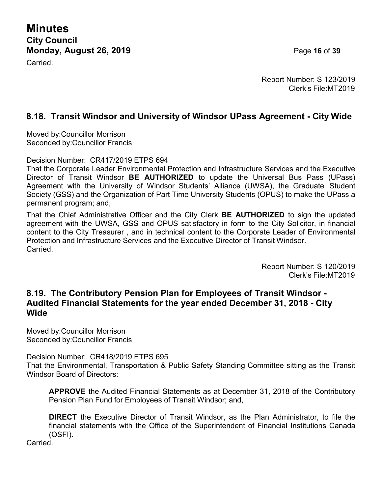**Minutes City Council Monday, August 26, 2019 Page 16 of 39** 

Carried.

Report Number: S 123/2019 Clerk's File:MT2019

## **8.18. Transit Windsor and University of Windsor UPass Agreement - City Wide**

Moved by:Councillor Morrison Seconded by:Councillor Francis

Decision Number: CR417/2019 ETPS 694

That the Corporate Leader Environmental Protection and Infrastructure Services and the Executive Director of Transit Windsor **BE AUTHORIZED** to update the Universal Bus Pass (UPass) Agreement with the University of Windsor Students' Alliance (UWSA), the Graduate Student Society (GSS) and the Organization of Part Time University Students (OPUS) to make the UPass a permanent program; and,

That the Chief Administrative Officer and the City Clerk **BE AUTHORIZED** to sign the updated agreement with the UWSA, GSS and OPUS satisfactory in form to the City Solicitor, in financial content to the City Treasurer , and in technical content to the Corporate Leader of Environmental Protection and Infrastructure Services and the Executive Director of Transit Windsor. **Carried** 

> Report Number: S 120/2019 Clerk's File:MT2019

#### **8.19. The Contributory Pension Plan for Employees of Transit Windsor - Audited Financial Statements for the year ended December 31, 2018 - City Wide**

Moved by:Councillor Morrison Seconded by:Councillor Francis

Decision Number: CR418/2019 ETPS 695 That the Environmental, Transportation & Public Safety Standing Committee sitting as the Transit Windsor Board of Directors:

**APPROVE** the Audited Financial Statements as at December 31, 2018 of the Contributory Pension Plan Fund for Employees of Transit Windsor; and,

**DIRECT** the Executive Director of Transit Windsor, as the Plan Administrator, to file the financial statements with the Office of the Superintendent of Financial Institutions Canada (OSFI).

**Carried**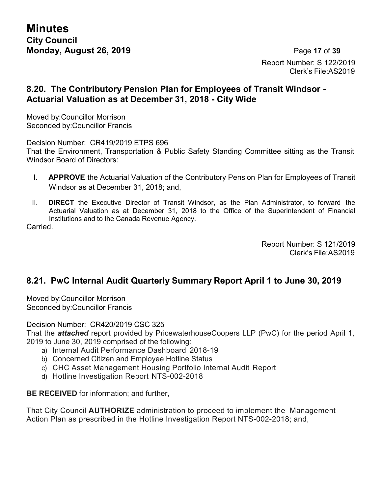**Minutes City Council Monday, August 26, 2019 Page 17 of 39** 

Report Number: S 122/2019 Clerk's File:AS2019

#### **8.20. The Contributory Pension Plan for Employees of Transit Windsor - Actuarial Valuation as at December 31, 2018 - City Wide**

Moved by:Councillor Morrison Seconded by:Councillor Francis

Decision Number: CR419/2019 ETPS 696 That the Environment, Transportation & Public Safety Standing Committee sitting as the Transit Windsor Board of Directors:

- I. **APPROVE** the Actuarial Valuation of the Contributory Pension Plan for Employees of Transit Windsor as at December 31, 2018; and,
- II. **DIRECT** the Executive Director of Transit Windsor, as the Plan Administrator, to forward the Actuarial Valuation as at December 31, 2018 to the Office of the Superintendent of Financial Institutions and to the Canada Revenue Agency.

Carried.

Report Number: S 121/2019 Clerk's File:AS2019

## **8.21. PwC Internal Audit Quarterly Summary Report April 1 to June 30, 2019**

Moved by:Councillor Morrison Seconded by:Councillor Francis

Decision Number: CR420/2019 CSC 325

That the *attached* report provided by PricewaterhouseCoopers LLP (PwC) for the period April 1, 2019 to June 30, 2019 comprised of the following:

- a) Internal Audit Performance Dashboard 2018-19
- b) Concerned Citizen and Employee Hotline Status
- c) CHC Asset Management Housing Portfolio Internal Audit Report
- d) Hotline Investigation Report NTS-002-2018

**BE RECEIVED** for information; and further,

That City Council **AUTHORIZE** administration to proceed to implement the Management Action Plan as prescribed in the Hotline Investigation Report NTS-002-2018; and,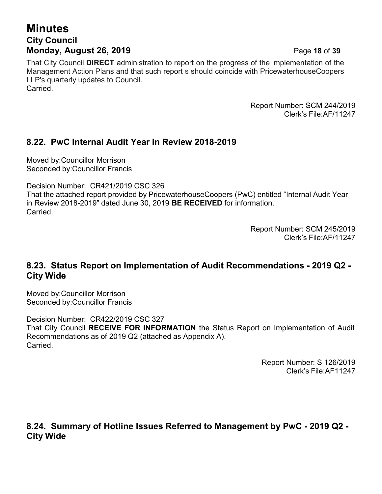# **Minutes City Council Monday, August 26, 2019 Page 18 of 39**

That City Council **DIRECT** administration to report on the progress of the implementation of the Management Action Plans and that such report s should coincide with PricewaterhouseCoopers LLP's quarterly updates to Council. Carried.

> Report Number: SCM 244/2019 Clerk's File:AF/11247

## **8.22. PwC Internal Audit Year in Review 2018-2019**

Moved by:Councillor Morrison Seconded by:Councillor Francis

Decision Number: CR421/2019 CSC 326

That the attached report provided by PricewaterhouseCoopers (PwC) entitled "Internal Audit Year in Review 2018-2019" dated June 30, 2019 **BE RECEIVED** for information. **Carried** 

> Report Number: SCM 245/2019 Clerk's File:AF/11247

#### **8.23. Status Report on Implementation of Audit Recommendations - 2019 Q2 - City Wide**

Moved by:Councillor Morrison Seconded by:Councillor Francis

Decision Number: CR422/2019 CSC 327 That City Council **RECEIVE FOR INFORMATION** the Status Report on Implementation of Audit Recommendations as of 2019 Q2 (attached as Appendix A). **Carried** 

> Report Number: S 126/2019 Clerk's File:AF11247

**8.24. Summary of Hotline Issues Referred to Management by PwC - 2019 Q2 - City Wide**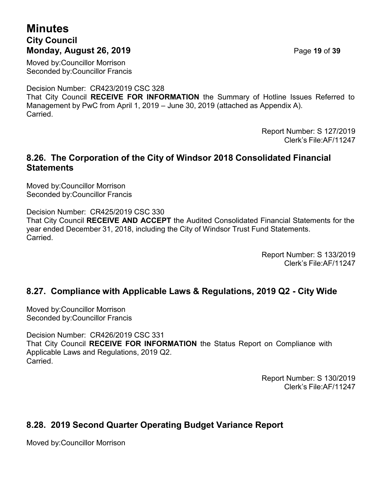## **Minutes City Council Monday, August 26, 2019 Page 19 of 39**

Moved by:Councillor Morrison Seconded by:Councillor Francis

Decision Number: CR423/2019 CSC 328 That City Council **RECEIVE FOR INFORMATION** the Summary of Hotline Issues Referred to Management by PwC from April 1, 2019 – June 30, 2019 (attached as Appendix A). Carried.

> Report Number: S 127/2019 Clerk's File:AF/11247

#### **8.26. The Corporation of the City of Windsor 2018 Consolidated Financial Statements**

Moved by:Councillor Morrison Seconded by:Councillor Francis

Decision Number: CR425/2019 CSC 330 That City Council **RECEIVE AND ACCEPT** the Audited Consolidated Financial Statements for the year ended December 31, 2018, including the City of Windsor Trust Fund Statements. Carried.

> Report Number: S 133/2019 Clerk's File:AF/11247

## **8.27. Compliance with Applicable Laws & Regulations, 2019 Q2 - City Wide**

Moved by:Councillor Morrison Seconded by:Councillor Francis

Decision Number: CR426/2019 CSC 331 That City Council **RECEIVE FOR INFORMATION** the Status Report on Compliance with Applicable Laws and Regulations, 2019 Q2. Carried.

> Report Number: S 130/2019 Clerk's File:AF/11247

# **8.28. 2019 Second Quarter Operating Budget Variance Report**

Moved by:Councillor Morrison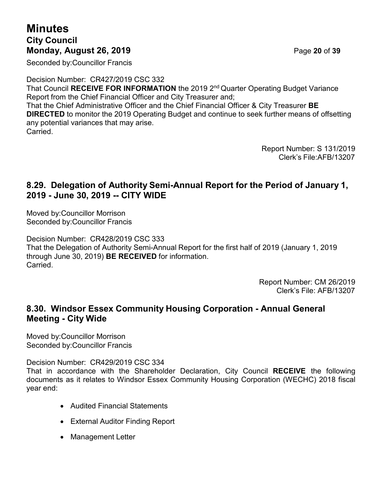# **Minutes City Council Monday, August 26, 2019** Page **20** of **39**

Seconded by:Councillor Francis

Decision Number: CR427/2019 CSC 332 That Council **RECEIVE FOR INFORMATION** the 2019 2nd Quarter Operating Budget Variance Report from the Chief Financial Officer and City Treasurer and; That the Chief Administrative Officer and the Chief Financial Officer & City Treasurer **BE DIRECTED** to monitor the 2019 Operating Budget and continue to seek further means of offsetting any potential variances that may arise. **Carried** 

> Report Number: S 131/2019 Clerk's File:AFB/13207

## **8.29. Delegation of Authority Semi-Annual Report for the Period of January 1, 2019 - June 30, 2019 -- CITY WIDE**

Moved by:Councillor Morrison Seconded by:Councillor Francis

Decision Number: CR428/2019 CSC 333 That the Delegation of Authority Semi-Annual Report for the first half of 2019 (January 1, 2019 through June 30, 2019) **BE RECEIVED** for information. Carried.

> Report Number: CM 26/2019 Clerk's File: AFB/13207

## **8.30. Windsor Essex Community Housing Corporation - Annual General Meeting - City Wide**

Moved by:Councillor Morrison Seconded by:Councillor Francis

Decision Number: CR429/2019 CSC 334

That in accordance with the Shareholder Declaration, City Council **RECEIVE** the following documents as it relates to Windsor Essex Community Housing Corporation (WECHC) 2018 fiscal year end:

- Audited Financial Statements
- External Auditor Finding Report
- Management Letter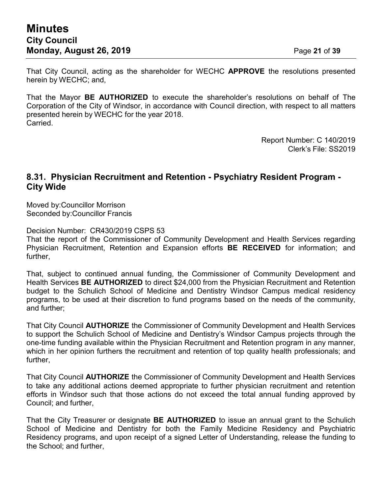That City Council, acting as the shareholder for WECHC **APPROVE** the resolutions presented herein by WECHC; and,

That the Mayor **BE AUTHORIZED** to execute the shareholder's resolutions on behalf of The Corporation of the City of Windsor, in accordance with Council direction, with respect to all matters presented herein by WECHC for the year 2018. Carried.

> Report Number: C 140/2019 Clerk's File: SS2019

#### **8.31. Physician Recruitment and Retention - Psychiatry Resident Program - City Wide**

Moved by:Councillor Morrison Seconded by:Councillor Francis

Decision Number: CR430/2019 CSPS 53

That the report of the Commissioner of Community Development and Health Services regarding Physician Recruitment, Retention and Expansion efforts **BE RECEIVED** for information; and further,

That, subject to continued annual funding, the Commissioner of Community Development and Health Services **BE AUTHORIZED** to direct \$24,000 from the Physician Recruitment and Retention budget to the Schulich School of Medicine and Dentistry Windsor Campus medical residency programs, to be used at their discretion to fund programs based on the needs of the community, and further;

That City Council **AUTHORIZE** the Commissioner of Community Development and Health Services to support the Schulich School of Medicine and Dentistry's Windsor Campus projects through the one-time funding available within the Physician Recruitment and Retention program in any manner, which in her opinion furthers the recruitment and retention of top quality health professionals; and further,

That City Council **AUTHORIZE** the Commissioner of Community Development and Health Services to take any additional actions deemed appropriate to further physician recruitment and retention efforts in Windsor such that those actions do not exceed the total annual funding approved by Council; and further,

That the City Treasurer or designate **BE AUTHORIZED** to issue an annual grant to the Schulich School of Medicine and Dentistry for both the Family Medicine Residency and Psychiatric Residency programs, and upon receipt of a signed Letter of Understanding, release the funding to the School; and further,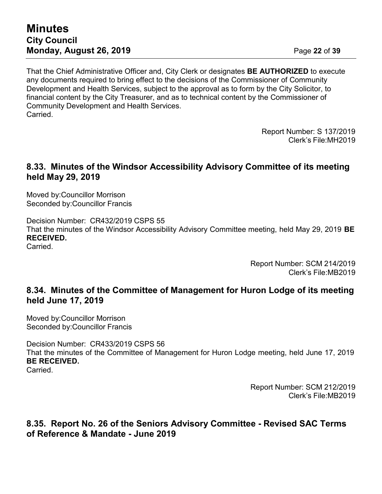## **Minutes City Council Monday, August 26, 2019** Page **22** of **39**

That the Chief Administrative Officer and, City Clerk or designates **BE AUTHORIZED** to execute any documents required to bring effect to the decisions of the Commissioner of Community Development and Health Services, subject to the approval as to form by the City Solicitor, to financial content by the City Treasurer, and as to technical content by the Commissioner of Community Development and Health Services. **Carried** 

> Report Number: S 137/2019 Clerk's File:MH2019

#### **8.33. Minutes of the Windsor Accessibility Advisory Committee of its meeting held May 29, 2019**

Moved by:Councillor Morrison Seconded by:Councillor Francis

Decision Number: CR432/2019 CSPS 55 That the minutes of the Windsor Accessibility Advisory Committee meeting, held May 29, 2019 **BE RECEIVED.** Carried.

> Report Number: SCM 214/2019 Clerk's File:MB2019

#### **8.34. Minutes of the Committee of Management for Huron Lodge of its meeting held June 17, 2019**

Moved by:Councillor Morrison Seconded by:Councillor Francis

Decision Number: CR433/2019 CSPS 56 That the minutes of the Committee of Management for Huron Lodge meeting, held June 17, 2019 **BE RECEIVED. Carried** 

> Report Number: SCM 212/2019 Clerk's File:MB2019

#### **8.35. Report No. 26 of the Seniors Advisory Committee - Revised SAC Terms of Reference & Mandate - June 2019**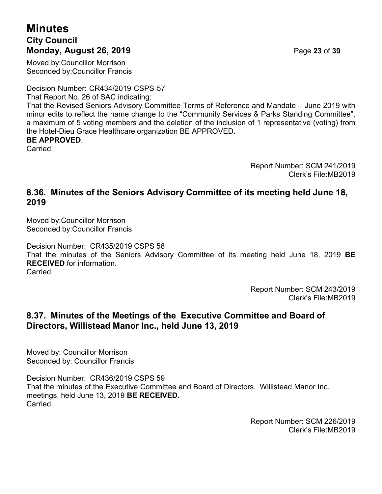## **Minutes City Council Monday, August 26, 2019** Page **23** of **39**

Moved by:Councillor Morrison Seconded by:Councillor Francis

Decision Number: CR434/2019 CSPS 57

That Report No. 26 of SAC indicating:

That the Revised Seniors Advisory Committee Terms of Reference and Mandate – June 2019 with minor edits to reflect the name change to the "Community Services & Parks Standing Committee", a maximum of 5 voting members and the deletion of the inclusion of 1 representative (voting) from the Hotel-Dieu Grace Healthcare organization BE APPROVED.

#### **BE APPROVED**.

**Carried** 

Report Number: SCM 241/2019 Clerk's File:MB2019

#### **8.36. Minutes of the Seniors Advisory Committee of its meeting held June 18, 2019**

Moved by:Councillor Morrison Seconded by:Councillor Francis

Decision Number: CR435/2019 CSPS 58 That the minutes of the Seniors Advisory Committee of its meeting held June 18, 2019 **BE RECEIVED** for information. Carried.

> Report Number: SCM 243/2019 Clerk's File:MB2019

## **8.37. Minutes of the Meetings of the Executive Committee and Board of Directors, Willistead Manor Inc., held June 13, 2019**

Moved by: Councillor Morrison Seconded by: Councillor Francis

Decision Number: CR436/2019 CSPS 59 That the minutes of the Executive Committee and Board of Directors, Willistead Manor Inc. meetings, held June 13, 2019 **BE RECEIVED. Carried** 

> Report Number: SCM 226/2019 Clerk's File:MB2019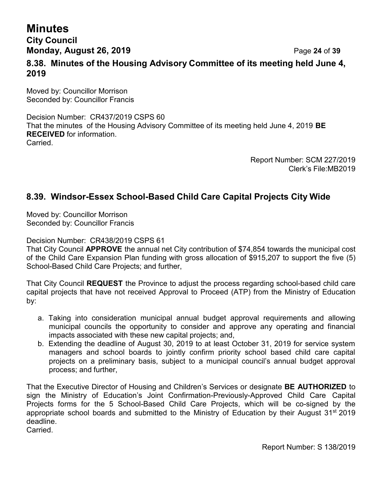## **Minutes City Council Monday, August 26, 2019** Page **24** of **39 8.38. Minutes of the Housing Advisory Committee of its meeting held June 4, 2019**

Moved by: Councillor Morrison Seconded by: Councillor Francis

Decision Number: CR437/2019 CSPS 60 That the minutes of the Housing Advisory Committee of its meeting held June 4, 2019 **BE RECEIVED** for information. Carried.

> Report Number: SCM 227/2019 Clerk's File:MB2019

## **8.39. Windsor-Essex School-Based Child Care Capital Projects City Wide**

Moved by: Councillor Morrison Seconded by: Councillor Francis

Decision Number: CR438/2019 CSPS 61

That City Council **APPROVE** the annual net City contribution of \$74,854 towards the municipal cost of the Child Care Expansion Plan funding with gross allocation of \$915,207 to support the five (5) School-Based Child Care Projects; and further,

That City Council **REQUEST** the Province to adjust the process regarding school-based child care capital projects that have not received Approval to Proceed (ATP) from the Ministry of Education by:

- a. Taking into consideration municipal annual budget approval requirements and allowing municipal councils the opportunity to consider and approve any operating and financial impacts associated with these new capital projects; and,
- b. Extending the deadline of August 30, 2019 to at least October 31, 2019 for service system managers and school boards to jointly confirm priority school based child care capital projects on a preliminary basis, subject to a municipal council's annual budget approval process; and further,

That the Executive Director of Housing and Children's Services or designate **BE AUTHORIZED** to sign the Ministry of Education's Joint Confirmation-Previously-Approved Child Care Capital Projects forms for the 5 School-Based Child Care Projects, which will be co-signed by the appropriate school boards and submitted to the Ministry of Education by their August 31<sup>st</sup> 2019 deadline.

**Carried**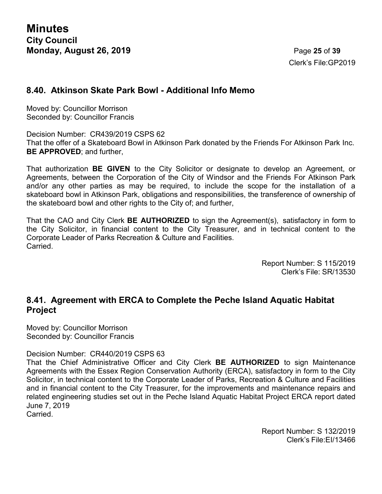Clerk's File:GP2019

#### **8.40. Atkinson Skate Park Bowl - Additional Info Memo**

Moved by: Councillor Morrison Seconded by: Councillor Francis

Decision Number: CR439/2019 CSPS 62 That the offer of a Skateboard Bowl in Atkinson Park donated by the Friends For Atkinson Park Inc. **BE APPROVED**; and further,

That authorization **BE GIVEN** to the City Solicitor or designate to develop an Agreement, or Agreements, between the Corporation of the City of Windsor and the Friends For Atkinson Park and/or any other parties as may be required, to include the scope for the installation of a skateboard bowl in Atkinson Park, obligations and responsibilities, the transference of ownership of the skateboard bowl and other rights to the City of; and further,

That the CAO and City Clerk **BE AUTHORIZED** to sign the Agreement(s), satisfactory in form to the City Solicitor, in financial content to the City Treasurer, and in technical content to the Corporate Leader of Parks Recreation & Culture and Facilities. Carried.

> Report Number: S 115/2019 Clerk's File: SR/13530

#### **8.41. Agreement with ERCA to Complete the Peche Island Aquatic Habitat Project**

Moved by: Councillor Morrison Seconded by: Councillor Francis

Decision Number: CR440/2019 CSPS 63

That the Chief Administrative Officer and City Clerk **BE AUTHORIZED** to sign Maintenance Agreements with the Essex Region Conservation Authority (ERCA), satisfactory in form to the City Solicitor, in technical content to the Corporate Leader of Parks, Recreation & Culture and Facilities and in financial content to the City Treasurer, for the improvements and maintenance repairs and related engineering studies set out in the Peche Island Aquatic Habitat Project ERCA report dated June 7, 2019

Carried.

Report Number: S 132/2019 Clerk's File:EI/13466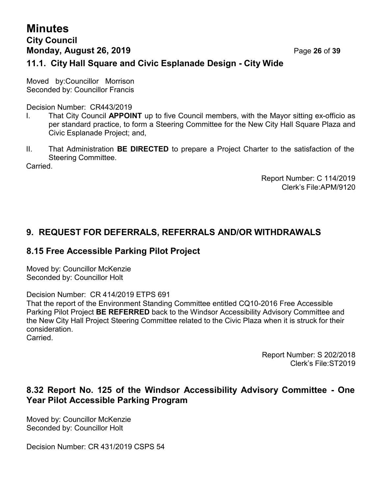# **Minutes City Council Monday, August 26, 2019** Page **26** of **39**

## **11.1. City Hall Square and Civic Esplanade Design - City Wide**

Moved by:Councillor Morrison Seconded by: Councillor Francis

Decision Number: CR443/2019

- I. That City Council **APPOINT** up to five Council members, with the Mayor sitting ex-officio as per standard practice, to form a Steering Committee for the New City Hall Square Plaza and Civic Esplanade Project; and,
- II. That Administration **BE DIRECTED** to prepare a Project Charter to the satisfaction of the Steering Committee.

Carried.

Report Number: C 114/2019 Clerk's File:APM/9120

## **9. REQUEST FOR DEFERRALS, REFERRALS AND/OR WITHDRAWALS**

#### **8.15 Free Accessible Parking Pilot Project**

Moved by: Councillor McKenzie Seconded by: Councillor Holt

Decision Number: CR 414/2019 ETPS 691

That the report of the Environment Standing Committee entitled CQ10-2016 Free Accessible Parking Pilot Project **BE REFERRED** back to the Windsor Accessibility Advisory Committee and the New City Hall Project Steering Committee related to the Civic Plaza when it is struck for their consideration.

**Carried** 

Report Number: S 202/2018 Clerk's File:ST2019

#### **8.32 Report No. 125 of the Windsor Accessibility Advisory Committee - One Year Pilot Accessible Parking Program**

Moved by: Councillor McKenzie Seconded by: Councillor Holt

Decision Number: CR 431/2019 CSPS 54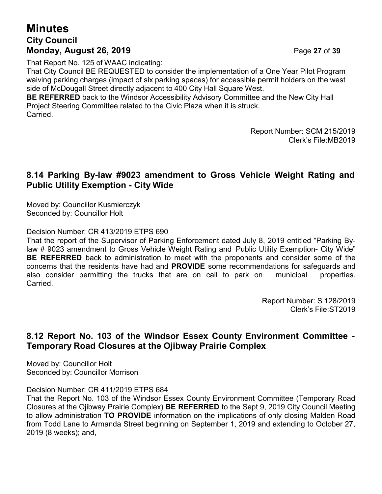# **Minutes City Council Monday, August 26, 2019** Page **27** of **39**

That Report No. 125 of WAAC indicating:

That City Council BE REQUESTED to consider the implementation of a One Year Pilot Program waiving parking charges (impact of six parking spaces) for accessible permit holders on the west side of McDougall Street directly adjacent to 400 City Hall Square West.

**BE REFERRED** back to the Windsor Accessibility Advisory Committee and the New City Hall Project Steering Committee related to the Civic Plaza when it is struck. Carried.

> Report Number: SCM 215/2019 Clerk's File:MB2019

#### **8.14 Parking By-law #9023 amendment to Gross Vehicle Weight Rating and Public Utility Exemption - City Wide**

Moved by: Councillor Kusmierczyk Seconded by: Councillor Holt

Decision Number: CR 413/2019 ETPS 690

That the report of the Supervisor of Parking Enforcement dated July 8, 2019 entitled "Parking Bylaw # 9023 amendment to Gross Vehicle Weight Rating and Public Utility Exemption- City Wide" **BE REFERRED** back to administration to meet with the proponents and consider some of the concerns that the residents have had and **PROVIDE** some recommendations for safeguards and also consider permitting the trucks that are on call to park on municipal properties. Carried.

> Report Number: S 128/2019 Clerk's File:ST2019

## **8.12 Report No. 103 of the Windsor Essex County Environment Committee - Temporary Road Closures at the Ojibway Prairie Complex**

Moved by: Councillor Holt Seconded by: Councillor Morrison

Decision Number: CR 411/2019 ETPS 684

That the Report No. 103 of the Windsor Essex County Environment Committee (Temporary Road Closures at the Ojibway Prairie Complex) **BE REFERRED** to the Sept 9, 2019 City Council Meeting to allow administration **TO PROVIDE** information on the implications of only closing Malden Road from Todd Lane to Armanda Street beginning on September 1, 2019 and extending to October 27, 2019 (8 weeks); and,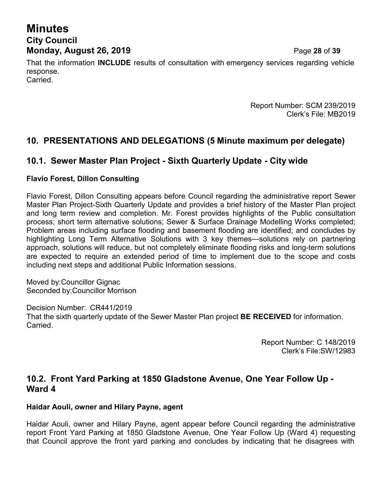# **Minutes City Council Monday, August 26, 2019** Page **28** of **39**

That the information **INCLUDE** results of consultation with emergency services regarding vehicle response. Carried.

> Report Number: SCM 239/2019 Clerk's File: MB2019

## **10. PRESENTATIONS AND DELEGATIONS (5 Minute maximum per delegate)**

#### **10.1. Sewer Master Plan Project - Sixth Quarterly Update - City wide**

#### **Flavio Forest, Dillon Consulting**

Flavio Forest, Dillon Consulting appears before Council regarding the administrative report Sewer Master Plan Project-Sixth Quarterly Update and provides a brief history of the Master Plan project and long term review and completion. Mr. Forest provides highlights of the Public consultation process; short term alternative solutions; Sewer & Surface Drainage Modelling Works completed; Problem areas including surface flooding and basement flooding are identified; and concludes by highlighting Long Term Alternative Solutions with 3 key themes—solutions rely on partnering approach, solutions will reduce, but not completely eliminate flooding risks and long-term solutions are expected to require an extended period of time to implement due to the scope and costs including next steps and additional Public Information sessions.

Moved by:Councillor Gignac Seconded by:Councillor Morrison

Decision Number: CR441/2019 That the sixth quarterly update of the Sewer Master Plan project **BE RECEIVED** for information. Carried.

> Report Number: C 148/2019 Clerk's File:SW/12983

#### **10.2. Front Yard Parking at 1850 Gladstone Avenue, One Year Follow Up - Ward 4**

#### **Haidar Aouli, owner and Hilary Payne, agent**

Haidar Aouli, owner and Hilary Payne, agent appear before Council regarding the administrative report Front Yard Parking at 1850 Gladstone Avenue, One Year Follow Up (Ward 4) requesting that Council approve the front yard parking and concludes by indicating that he disagrees with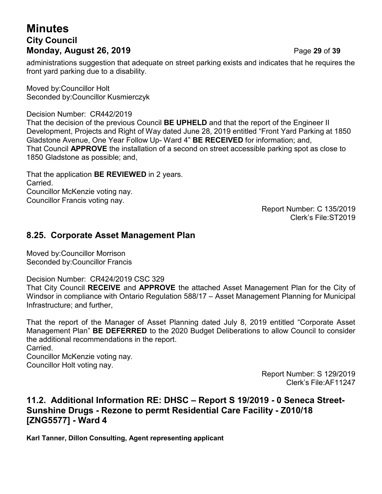# **Minutes City Council Monday, August 26, 2019** Page **29** of **39**

administrations suggestion that adequate on street parking exists and indicates that he requires the front yard parking due to a disability.

Moved by:Councillor Holt Seconded by:Councillor Kusmierczyk

Decision Number: CR442/2019

That the decision of the previous Council **BE UPHELD** and that the report of the Engineer II Development, Projects and Right of Way dated June 28, 2019 entitled "Front Yard Parking at 1850 Gladstone Avenue, One Year Follow Up- Ward 4" **BE RECEIVED** for information; and, That Council **APPROVE** the installation of a second on street accessible parking spot as close to 1850 Gladstone as possible; and,

That the application **BE REVIEWED** in 2 years. Carried. Councillor McKenzie voting nay. Councillor Francis voting nay.

Report Number: C 135/2019 Clerk's File:ST2019

#### **8.25. Corporate Asset Management Plan**

Moved by:Councillor Morrison Seconded by:Councillor Francis

Decision Number: CR424/2019 CSC 329

That City Council **RECEIVE** and **APPROVE** the attached Asset Management Plan for the City of Windsor in compliance with Ontario Regulation 588/17 – Asset Management Planning for Municipal Infrastructure; and further,

That the report of the Manager of Asset Planning dated July 8, 2019 entitled "Corporate Asset Management Plan" **BE DEFERRED** to the 2020 Budget Deliberations to allow Council to consider the additional recommendations in the report.

Carried.

Councillor McKenzie voting nay.

Councillor Holt voting nay.

Report Number: S 129/2019 Clerk's File:AF11247

## **11.2. Additional Information RE: DHSC – Report S 19/2019 - 0 Seneca Street-Sunshine Drugs - Rezone to permt Residential Care Facility - Z010/18 [ZNG5577] - Ward 4**

**Karl Tanner, Dillon Consulting, Agent representing applicant**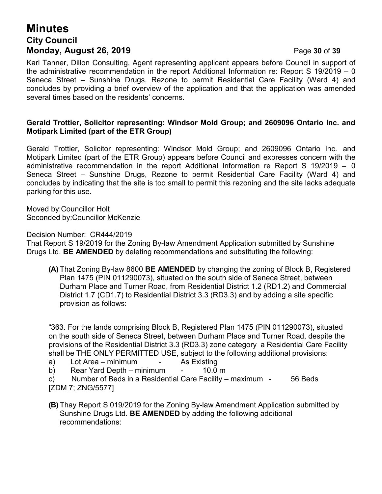# **Minutes City Council Monday, August 26, 2019 Page 30 of 39**

Karl Tanner, Dillon Consulting, Agent representing applicant appears before Council in support of the administrative recommendation in the report Additional Information re: Report S 19/2019 – 0 Seneca Street – Sunshine Drugs, Rezone to permit Residential Care Facility (Ward 4) and concludes by providing a brief overview of the application and that the application was amended several times based on the residents' concerns.

#### **Gerald Trottier, Solicitor representing: Windsor Mold Group; and 2609096 Ontario Inc. and Motipark Limited (part of the ETR Group)**

Gerald Trottier, Solicitor representing: Windsor Mold Group; and 2609096 Ontario Inc. and Motipark Limited (part of the ETR Group) appears before Council and expresses concern with the administrative recommendation in the report Additional Information re Report S 19/2019 – 0 Seneca Street – Sunshine Drugs, Rezone to permit Residential Care Facility (Ward 4) and concludes by indicating that the site is too small to permit this rezoning and the site lacks adequate parking for this use.

Moved by:Councillor Holt Seconded by:Councillor McKenzie

Decision Number: CR444/2019

That Report S 19/2019 for the Zoning By-law Amendment Application submitted by Sunshine Drugs Ltd. **BE AMENDED** by deleting recommendations and substituting the following:

**(A)** That Zoning By-law 8600 **BE AMENDED** by changing the zoning of Block B, Registered Plan 1475 (PIN 011290073), situated on the south side of Seneca Street, between Durham Place and Turner Road, from Residential District 1.2 (RD1.2) and Commercial District 1.7 (CD1.7) to Residential District 3.3 (RD3.3) and by adding a site specific provision as follows:

"363. For the lands comprising Block B, Registered Plan 1475 (PIN 011290073), situated on the south side of Seneca Street, between Durham Place and Turner Road, despite the provisions of the Residential District 3.3 (RD3.3) zone category a Residential Care Facility shall be THE ONLY PERMITTED USE, subject to the following additional provisions:

a) Lot Area – minimum - As Existing

b) Rear Yard Depth – minimum - 10.0 m

c) Number of Beds in a Residential Care Facility – maximum - 56 Beds [ZDM 7; ZNG/5577]

**(B)** Thay Report S 019/2019 for the Zoning By-law Amendment Application submitted by Sunshine Drugs Ltd. **BE AMENDED** by adding the following additional recommendations: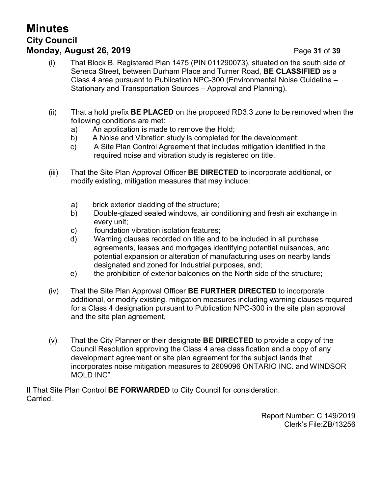# **Minutes City Council Monday, August 26, 2019 Page 31 of 39**

- (i) That Block B, Registered Plan 1475 (PIN 011290073), situated on the south side of Seneca Street, between Durham Place and Turner Road, **BE CLASSIFIED** as a Class 4 area pursuant to Publication NPC-300 (Environmental Noise Guideline – Stationary and Transportation Sources – Approval and Planning).
- (ii) That a hold prefix **BE PLACED** on the proposed RD3.3 zone to be removed when the following conditions are met:
	- a) An application is made to remove the Hold;
	- b) A Noise and Vibration study is completed for the development;
	- c) A Site Plan Control Agreement that includes mitigation identified in the required noise and vibration study is registered on title.
- (iii) That the Site Plan Approval Officer **BE DIRECTED** to incorporate additional, or modify existing, mitigation measures that may include:
	- a) brick exterior cladding of the structure;
	- b) Double-glazed sealed windows, air conditioning and fresh air exchange in every unit;
	- c) foundation vibration isolation features;
	- d) Warning clauses recorded on title and to be included in all purchase agreements, leases and mortgages identifying potential nuisances, and potential expansion or alteration of manufacturing uses on nearby lands designated and zoned for Industrial purposes, and;
	- e) the prohibition of exterior balconies on the North side of the structure;
- (iv) That the Site Plan Approval Officer **BE FURTHER DIRECTED** to incorporate additional, or modify existing, mitigation measures including warning clauses required for a Class 4 designation pursuant to Publication NPC-300 in the site plan approval and the site plan agreement,
- (v) That the City Planner or their designate **BE DIRECTED** to provide a copy of the Council Resolution approving the Class 4 area classification and a copy of any development agreement or site plan agreement for the subject lands that incorporates noise mitigation measures to 2609096 ONTARIO INC. and WINDSOR MOLD INC"

II That Site Plan Control **BE FORWARDED** to City Council for consideration. Carried.

> Report Number: C 149/2019 Clerk's File:ZB/13256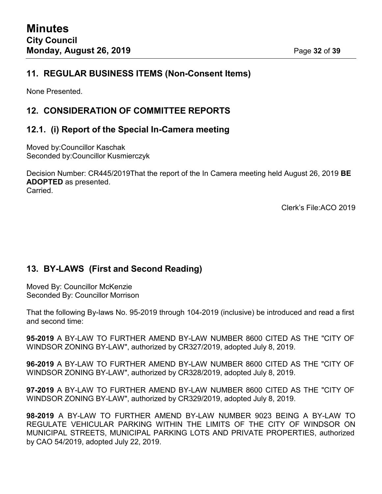### **11. REGULAR BUSINESS ITEMS (Non-Consent Items)**

None Presented.

## **12. CONSIDERATION OF COMMITTEE REPORTS**

## **12.1. (i) Report of the Special In-Camera meeting**

Moved by:Councillor Kaschak Seconded by:Councillor Kusmierczyk

Decision Number: CR445/2019That the report of the In Camera meeting held August 26, 2019 **BE ADOPTED** as presented. Carried.

Clerk's File:ACO 2019

## **13. BY-LAWS (First and Second Reading)**

Moved By: Councillor McKenzie Seconded By: Councillor Morrison

That the following By-laws No. 95-2019 through 104-2019 (inclusive) be introduced and read a first and second time:

**95-2019** A BY-LAW TO FURTHER AMEND BY-LAW NUMBER 8600 CITED AS THE "CITY OF WINDSOR ZONING BY-LAW", authorized by CR327/2019, adopted July 8, 2019.

**96-2019** A BY-LAW TO FURTHER AMEND BY-LAW NUMBER 8600 CITED AS THE "CITY OF WINDSOR ZONING BY-LAW", authorized by CR328/2019, adopted July 8, 2019.

**97-2019** A BY-LAW TO FURTHER AMEND BY-LAW NUMBER 8600 CITED AS THE "CITY OF WINDSOR ZONING BY-LAW", authorized by CR329/2019, adopted July 8, 2019.

**98-2019** A BY-LAW TO FURTHER AMEND BY-LAW NUMBER 9023 BEING A BY-LAW TO REGULATE VEHICULAR PARKING WITHIN THE LIMITS OF THE CITY OF WINDSOR ON MUNICIPAL STREETS, MUNICIPAL PARKING LOTS AND PRIVATE PROPERTIES, authorized by CAO 54/2019, adopted July 22, 2019.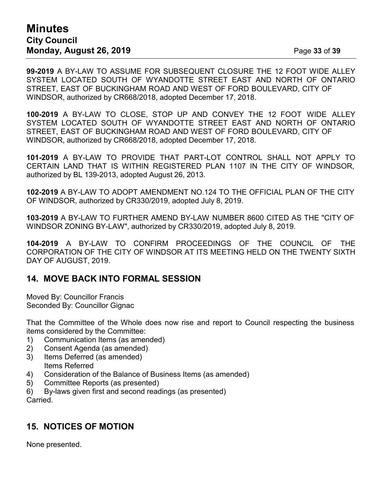## **Minutes City Council Monday, August 26, 2019** Page **33** of **39**

**99-2019** A BY-LAW TO ASSUME FOR SUBSEQUENT CLOSURE THE 12 FOOT WIDE ALLEY SYSTEM LOCATED SOUTH OF WYANDOTTE STREET EAST AND NORTH OF ONTARIO STREET, EAST OF BUCKINGHAM ROAD AND WEST OF FORD BOULEVARD, CITY OF WINDSOR, authorized by CR668/2018, adopted December 17, 2018.

**100-2019** A BY-LAW TO CLOSE, STOP UP AND CONVEY THE 12 FOOT WIDE ALLEY SYSTEM LOCATED SOUTH OF WYANDOTTE STREET EAST AND NORTH OF ONTARIO STREET, EAST OF BUCKINGHAM ROAD AND WEST OF FORD BOULEVARD, CITY OF WINDSOR, authorized by CR668/2018, adopted December 17, 2018.

**101-2019** A BY-LAW TO PROVIDE THAT PART-LOT CONTROL SHALL NOT APPLY TO CERTAIN LAND THAT IS WITHIN REGISTERED PLAN 1107 IN THE CITY OF WINDSOR, authorized by BL 139-2013, adopted August 26, 2013.

**102-2019** A BY-LAW TO ADOPT AMENDMENT NO.124 TO THE OFFICIAL PLAN OF THE CITY OF WINDSOR, authorized by CR330/2019, adopted July 8, 2019.

**103-2019** A BY-LAW TO FURTHER AMEND BY-LAW NUMBER 8600 CITED AS THE "CITY OF WINDSOR ZONING BY-LAW", authorized by CR330/2019, adopted July 8, 2019.

**104-2019** A BY-LAW TO CONFIRM PROCEEDINGS OF THE COUNCIL OF THE CORPORATION OF THE CITY OF WINDSOR AT ITS MEETING HELD ON THE TWENTY SIXTH DAY OF AUGUST, 2019.

#### **14. MOVE BACK INTO FORMAL SESSION**

Moved By: Councillor Francis Seconded By: Councillor Gignac

That the Committee of the Whole does now rise and report to Council respecting the business items considered by the Committee:

- 1) Communication Items (as amended)
- 2) Consent Agenda (as amended)
- 3) Items Deferred (as amended) Items Referred
- 4) Consideration of the Balance of Business Items (as amended)
- 5) Committee Reports (as presented)
- 6) By-laws given first and second readings (as presented)

Carried.

## **15. NOTICES OF MOTION**

None presented.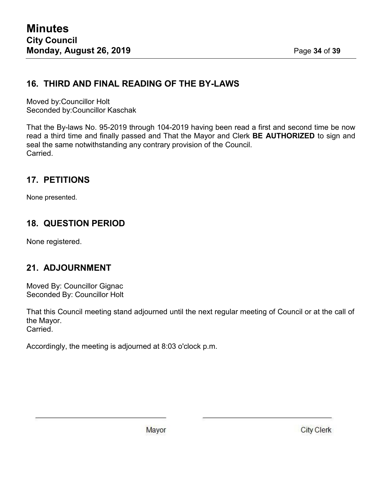# **16. THIRD AND FINAL READING OF THE BY-LAWS**

Moved by:Councillor Holt Seconded by:Councillor Kaschak

That the By-laws No. 95-2019 through 104-2019 having been read a first and second time be now read a third time and finally passed and That the Mayor and Clerk **BE AUTHORIZED** to sign and seal the same notwithstanding any contrary provision of the Council. Carried.

## **17. PETITIONS**

None presented.

## **18. QUESTION PERIOD**

None registered.

## **21. ADJOURNMENT**

Moved By: Councillor Gignac Seconded By: Councillor Holt

That this Council meeting stand adjourned until the next regular meeting of Council or at the call of the Mayor. Carried.

Accordingly, the meeting is adjourned at 8:03 o'clock p.m.

Mayor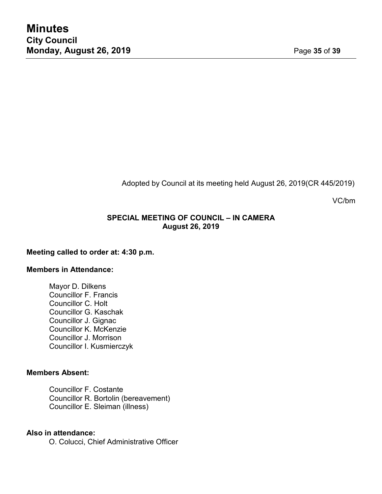Adopted by Council at its meeting held August 26, 2019(CR 445/2019)

VC/bm

#### **SPECIAL MEETING OF COUNCIL – IN CAMERA August 26, 2019**

#### **Meeting called to order at: 4:30 p.m.**

#### **Members in Attendance:**

Mayor D. Dilkens Councillor F. Francis Councillor C. Holt Councillor G. Kaschak Councillor J. Gignac Councillor K. McKenzie Councillor J. Morrison Councillor I. Kusmierczyk

#### **Members Absent:**

Councillor F. Costante Councillor R. Bortolin (bereavement) Councillor E. Sleiman (illness)

#### **Also in attendance:**

O. Colucci, Chief Administrative Officer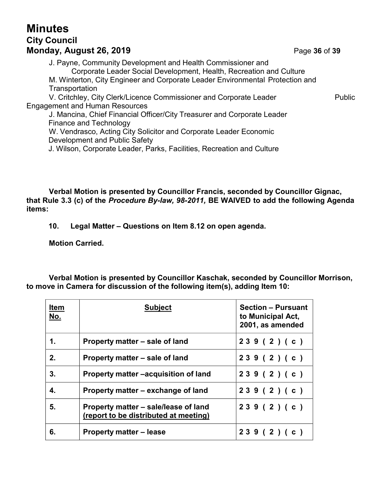# **Minutes City Council Monday, August 26, 2019** Page **36** of **39**

J. Payne, Community Development and Health Commissioner and Corporate Leader Social Development, Health, Recreation and Culture M. Winterton, City Engineer and Corporate Leader Environmental Protection and **Transportation** V. Critchley, City Clerk/Licence Commissioner and Corporate Leader Public Engagement and Human Resources

J. Mancina, Chief Financial Officer/City Treasurer and Corporate Leader Finance and Technology W. Vendrasco, Acting City Solicitor and Corporate Leader Economic Development and Public Safety

J. Wilson, Corporate Leader, Parks, Facilities, Recreation and Culture

**Verbal Motion is presented by Councillor Francis, seconded by Councillor Gignac, that Rule 3.3 (c) of the** *Procedure By-law, 98-2011,* **BE WAIVED to add the following Agenda items:**

**10. Legal Matter – Questions on Item 8.12 on open agenda.**

**Motion Carried.**

**Verbal Motion is presented by Councillor Kaschak, seconded by Councillor Morrison, to move in Camera for discussion of the following item(s), adding Item 10:**

| <b>Item</b><br>No. | <b>Subject</b>                                                                | <b>Section - Pursuant</b><br>to Municipal Act,<br>2001, as amended |
|--------------------|-------------------------------------------------------------------------------|--------------------------------------------------------------------|
| $\mathbf 1$ .      | Property matter – sale of land                                                | 239(2)(c)                                                          |
| 2.                 | Property matter – sale of land                                                | 239(2)(c)                                                          |
| 3 <sub>1</sub>     | Property matter -acquisition of land                                          | 239(2)(c)                                                          |
| $\mathbf{4}$       | Property matter – exchange of land                                            | 239(2)(c)                                                          |
| 5.                 | Property matter – sale/lease of land<br>(report to be distributed at meeting) | 239(2)(c)                                                          |
| 6.                 | <b>Property matter – lease</b>                                                | 239(2)(c)                                                          |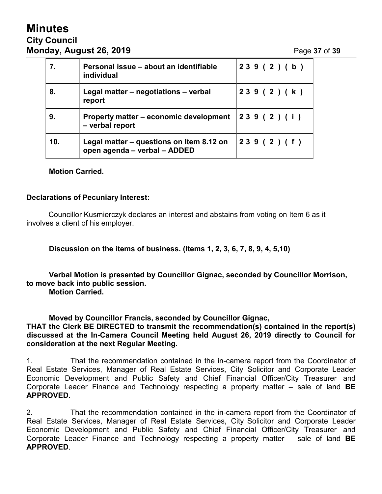# **Minutes City Council Monday, August 26, 2019** Page **37** of **39**

| 7.  | Personal issue – about an identifiable<br>individual                     | 239(2)(b) |
|-----|--------------------------------------------------------------------------|-----------|
| 8.  | Legal matter – negotiations – verbal<br>report                           | 239(2)(k) |
| 9.  | Property matter – economic development<br>- verbal report                | 239(2)(i) |
| 10. | Legal matter – questions on Item 8.12 on<br>open agenda - verbal - ADDED | 239(2)(f) |

#### **Motion Carried.**

#### **Declarations of Pecuniary Interest:**

Councillor Kusmierczyk declares an interest and abstains from voting on Item 6 as it involves a client of his employer.

**Discussion on the items of business. (Items 1, 2, 3, 6, 7, 8, 9, 4, 5,10)**

**Verbal Motion is presented by Councillor Gignac, seconded by Councillor Morrison, to move back into public session.**

**Motion Carried.**

**Moved by Councillor Francis, seconded by Councillor Gignac, THAT the Clerk BE DIRECTED to transmit the recommendation(s) contained in the report(s) discussed at the In-Camera Council Meeting held August 26, 2019 directly to Council for consideration at the next Regular Meeting.**

1. That the recommendation contained in the in-camera report from the Coordinator of Real Estate Services, Manager of Real Estate Services, City Solicitor and Corporate Leader Economic Development and Public Safety and Chief Financial Officer/City Treasurer and Corporate Leader Finance and Technology respecting a property matter – sale of land **BE APPROVED**.

2. That the recommendation contained in the in-camera report from the Coordinator of Real Estate Services, Manager of Real Estate Services, City Solicitor and Corporate Leader Economic Development and Public Safety and Chief Financial Officer/City Treasurer and Corporate Leader Finance and Technology respecting a property matter – sale of land **BE APPROVED**.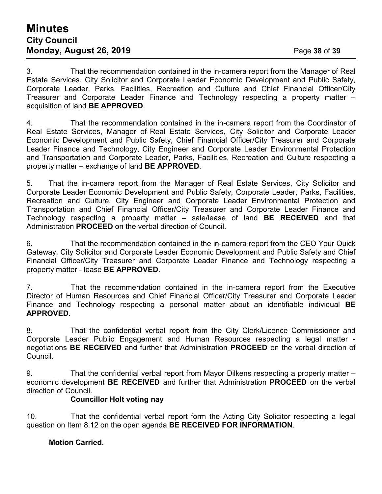## **Minutes City Council Monday, August 26, 2019** Page **38** of **39**

3. That the recommendation contained in the in-camera report from the Manager of Real Estate Services, City Solicitor and Corporate Leader Economic Development and Public Safety, Corporate Leader, Parks, Facilities, Recreation and Culture and Chief Financial Officer/City Treasurer and Corporate Leader Finance and Technology respecting a property matter – acquisition of land **BE APPROVED**.

4. That the recommendation contained in the in-camera report from the Coordinator of Real Estate Services, Manager of Real Estate Services, City Solicitor and Corporate Leader Economic Development and Public Safety, Chief Financial Officer/City Treasurer and Corporate Leader Finance and Technology, City Engineer and Corporate Leader Environmental Protection and Transportation and Corporate Leader, Parks, Facilities, Recreation and Culture respecting a property matter – exchange of land **BE APPROVED**.

5. That the in-camera report from the Manager of Real Estate Services, City Solicitor and Corporate Leader Economic Development and Public Safety, Corporate Leader, Parks, Facilities, Recreation and Culture, City Engineer and Corporate Leader Environmental Protection and Transportation and Chief Financial Officer/City Treasurer and Corporate Leader Finance and Technology respecting a property matter – sale/lease of land **BE RECEIVED** and that Administration **PROCEED** on the verbal direction of Council.

6. That the recommendation contained in the in-camera report from the CEO Your Quick Gateway, City Solicitor and Corporate Leader Economic Development and Public Safety and Chief Financial Officer/City Treasurer and Corporate Leader Finance and Technology respecting a property matter - lease **BE APPROVED**.

7. That the recommendation contained in the in-camera report from the Executive Director of Human Resources and Chief Financial Officer/City Treasurer and Corporate Leader Finance and Technology respecting a personal matter about an identifiable individual **BE APPROVED**.

8. That the confidential verbal report from the City Clerk/Licence Commissioner and Corporate Leader Public Engagement and Human Resources respecting a legal matter negotiations **BE RECEIVED** and further that Administration **PROCEED** on the verbal direction of Council.

9. That the confidential verbal report from Mayor Dilkens respecting a property matter – economic development **BE RECEIVED** and further that Administration **PROCEED** on the verbal direction of Council.

#### **Councillor Holt voting nay**

10. That the confidential verbal report form the Acting City Solicitor respecting a legal question on Item 8.12 on the open agenda **BE RECEIVED FOR INFORMATION**.

#### **Motion Carried.**